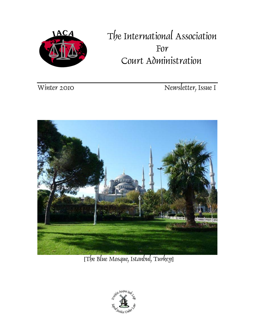

# The International Association For Court Administration

Winter 2010 Newsletter, Issue I



[The Blue Mosque, Istanbul, Turkey]

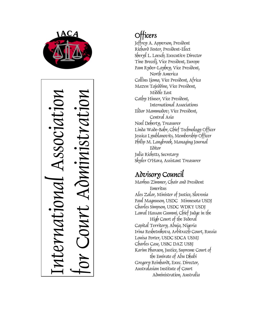

International Association or Court Administration  $SSOC10$ MMS  $\leftarrow$ 

## **Officers**

Jeffrey A. Apperson, President Richard Foster, President-Elect Sheryl L. Loesch, Executive Director Tine Brecelj, Vice President, Europe Pam Ryder-Layhey, Vice President, North America Collins Ijoma, Vice President, Africa Mazen Tajeddine, Vice President, Middle East Cathy Hiuser, Vice President, International Associations Eldar Mammadov, Vice President, Central Asia Noel Doherty, Treasurer Linda Wade-Bahr, Chief Technology Officer Jessica Lyublanovits, Membership Officer Philip M. Langbroek, Managing Journal Editor Julia Ricketts, Secretary Skyler O'Hara, Assistant Treasurer

### Advisory Council

Markus Zimmer, Chair and President Emeritus Ales Zalar, Minister of Justice, Slovenia Paul Magnuson, USDC Minnesota USDJ Charles Simpson, USDC WDKY USDJ Lawal Hassan Gummi, Chief Judge in the High Court of the Federal Capital Territory, Abuja, Nigeria Irina Reshetnikova, Arbitrazh Court, Russia Louisa Porter, USDC SDCA USMJ Charles Case, USBC DAZ USBJ Karim Pharaon, Justice, Supreme Court of the Emirate of Abu Dhabi Gregory Reinhardt, Exec. Director, Australasian Institute of Court Administration, Australia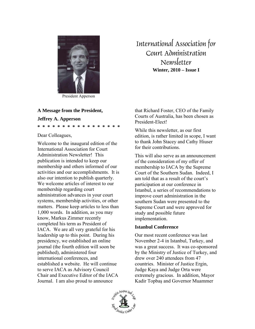

President Apperson

#### **A Message from the President,**

#### **Jeffrey A. Apperson**

**\* \* \* \* \* \* \* \* \* \* \* \* \* \* \* \* \*** 

Dear Colleagues,

Welcome to the inaugural edition of the International Association for Court Administration Newsletter! This publication is intended to keep our membership and others informed of our activities and our accomplishments. It is also our intention to publish quarterly. We welcome articles of interest to our membership regarding court administration advances in your court systems, membership activities, or other matters. Please keep articles to less than 1,000 words. In addition, as you may know, Markus Zimmer recently completed his term as President of IACA. We are all very grateful for his leadership up to this point. During his presidency, we established an online journal (the fourth edition will soon be published), administered four international conferences, and established a website. He will continue to serve IACA as Advisory Council Chair and Executive Editor of the IACA Journal. I am also proud to announce

International Association for Court Administration Newsletter **Winter, 2010 – Issue I** 

that Richard Foster, CEO of the Family Courts of Australia, has been chosen as President-Elect!

While this newsletter, as our first edition, is rather limited in scope, I want to thank John Stacey and Cathy Hiuser for their contributions.

This will also serve as an announcement of the consideration of my offer of membership to IACA by the Supreme Court of the Southern Sudan. Indeed, I am told that as a result of the court's participation at our conference in Istanbul, a series of recommendations to improve court administration in the southern Sudan were presented to the Supreme Court and were approved for study and possible future implementation.

#### **Istanbul Conference**

Our most recent conference was last November 2-4 in Istanbul, Turkey, and was a great success. It was co-sponsored by the Ministry of Justice of Turkey, and drew over 240 attendees from 47 countries. Minister of Justice Ergin, Judge Kaya and Judge Orta were extremely gracious. In addition, Mayor Kadir Topbaş and Governor Muammer

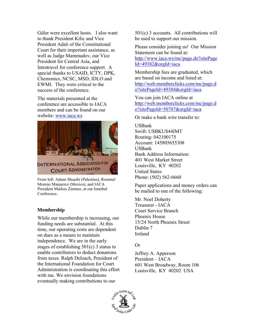Güler were excellent hosts. I also want to thank President Kilic and Vice President Adali of the Constitutional Court for their important assistance, as well as Judge Mammadov, our Vice President for Central Asia, and Intratravel for conference support. A special thanks to USAID, ICTY, DPK, Chemonics, NCSC, MSD, IDLO and EWMI. They were critical to the success of the conference.

The materials presented at the conference are accessible to IACA members and can be found on our website: www.iaca.ws



From left: Adnan Shuaibi (Palestine), Rommel Moreno Manjarrez (Mexico), and IACA President Markus Zimmer, at our Istanbul Conference.

#### **Membership**

While our membership is increasing, our funding needs are substantial. At this time, our operating costs are dependent on dues as a means to maintain independence. We are in the early stages of establishing 501(c) 3 status to enable contributors to deduct donations from taxes. Ralph Deloach, President of the International Foundation for Court Administration is coordinating this effort with me. We envision foundations eventually making contributions to our

501(c) 3 accounts. All contributions will be used to support our mission.

Please consider joining us! Our Mission Statement can be found at: http://www.iaca.ws/mc/page.do?sitePage Id=49382&orgId=iaca

Membership fees are graduated, which are based on income and listed at: http://web.memberclicks.com/mc/page.d o?sitePageId=49384&orgId=iaca

You can join IACA online at http://web.memberclicks.com/mc/page.d o?sitePageId=50787&orgId=iaca

Or make a bank wire transfer to:

USBank Swift: USBKUS44IMT Routing: 042100175 Account: 145805655308 USBank Bank Address Information: 401 West Market Street Louisville, KY 40202 United States Phone: (502) 562-6660

Paper applications and money orders can be mailed to one of the following:

Mr. Noel Doherty Treasurer - IACA Court Service Branch Phoenix House 15/24 North Phoenix Street Dublin 7 Ireland

#### Or

Jeffrey A. Apperson President – IACA 601 West Broadway, Room 106 Louisville, KY 40202 USA

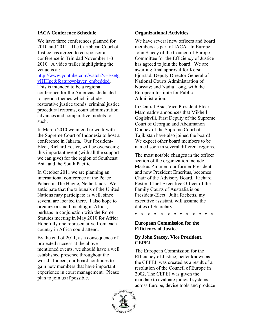#### **IACA Conference Schedule**

We have three conferences planned for 2010 and 2011. The Caribbean Court of Justice has agreed to co-sponsor a conference in Trinidad November 1-3 2010. A video trailer highlighting the venue is at:

http://www.youtube.com/watch?v=Ezetg vHIHpc&feature=player\_embedded. This is intended to be a regional conference for the Americas, dedicated to agenda themes which include restorative justice trends, criminal justice procedural reforms, court administration advances and comparative models for such.

In March 2010 we intend to work with the Supreme Court of Indonesia to host a conference in Jakarta. Our President-Elect, Richard Foster, will be overseeing this important event (with all the support we can give) for the region of Southeast Asia and the South Pacific.

In October 2011 we are planning an international conference at the Peace Palace in The Hague, Netherlands. We anticipate that the tribunals of the United Nations may participate as well, since several are located there. I also hope to organize a small meeting in Africa, perhaps in conjunction with the Rome Statutes meeting in May 2010 for Africa. Hopefully one representative from each country in Africa could attend.

By the end of 2011, as a consequence of projected success at the above mentioned events, we should have a well established presence throughout the world. Indeed, our board continues to gain new members that have important experience in court management. Please plan to join us if possible.

#### **Organizational Activities**

We have several new officers and board members as part of IACA. In Europe, John Stacey of the Council of Europe Committee for the Efficiency of Justice has agreed to join the board. We are awaiting final approval for Kersti Fjorstad, Deputy Director General of National Courts Administration of Norway; and Nadia Long, with the European Institute for Public Administration.

In Central Asia, Vice President Eldar Mammadov announces that Mikheil Gogishvili, First Deputy of the Supreme Court of Georgia; and Abdumanon Dodoev of the Supreme Court of Tajikistan have also joined the board! We expect other board members to be named soon in several different regions.

The most notable changes in the officer section of the organization include Markus Zimmer, our former President and now President Emeritus, becomes Chair of the Advisory Board. Richard Foster, Chief Executive Officer of the Family Courts of Australia is our President-Elect. Julia Ricketts, my executive assistant, will assume the duties of Secretary.

\* \* \* \* \* \* \* \* \* \* \* \* \*

#### **European Commission for the Efficiency of Justice**

#### **By John Stacey, Vice President, CEPEJ**

The European Commission for the Efficiency of Justice, better known as the CEPEJ, was created as a result of a resolution of the Council of Europe in 2002. The CEPEJ was given the mandate to evaluate judicial systems across Europe, devise tools and produce

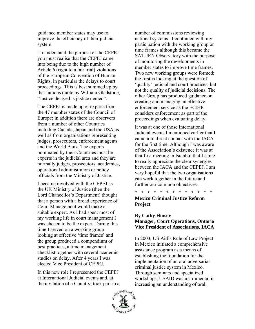guidance member states may use to improve the efficiency of their judicial system.

To understand the purpose of the CEPEJ you must realise that the CEPEJ came into being due to the high number of Article 6 (right to a fair trial) violations of the European Convention of Human Rights, in particular the delays to court proceedings. This is best summed up by that famous quote by William Gladstone, "Justice delayed is justice denied".

The CEPEJ is made up of experts from the 47 member states of the Council of Europe; in addition there are observers from a number of other Countries including Canada, Japan and the USA as well as from organisations representing judges, prosecutors, enforcement agents and the World Bank. The experts nominated by their Countries must be experts in the judicial area and they are normally judges, prosecutors, academics, operational administrators or policy officials from the Ministry of Justice.

I became involved with the CEPEJ as the UK Ministry of Justice (then the Lord Chancellor's Department) thought that a person with a broad experience of Court Management would make a suitable expert. As I had spent most of my working life in court management I was chosen to be the expert. During this time I served on a working group looking at effective 'time frames' and the group produced a compendium of best practices, a time management checklist together with several academic studies on delay. After 4 years I was elected Vice President of CEPEJ.

In this new role I represented the CEPEJ at International Judicial events and, at the invitation of a Country, took part in a number of commissions reviewing national systems. I continued with my participation with the working group on time frames although this became the SATURN Observatory with the purpose of monitoring the developments in member states to improve time frames. Two new working groups were formed; the first is looking at the question of 'quality' judicial and court practices, but not the quality of judicial decisions. The other Group has produced guidance on creating and managing an effective enforcement service as the ECtHR considers enforcement as part of the proceedings when evaluating delay.

It was at one of those International Judicial events I mentioned earlier that I came into direct contact with the IACA for the first time. Although I was aware of the Association's existence it was at that first meeting in Istanbul that I came to really appreciate the clear synergies between the IACA and the CEPEJ. I am very hopeful that the two organisations can work together in the future and further our common objectives.

\* \* \* \* \* \* \* \* \* \* \* \* \* **Mexico Criminal Justice Reform Project** 

#### **By Cathy Hiuser Manager, Court Operations, Ontario Vice President of Associations, IACA**

In 2003, US Aid's Rule of Law Project in Mexico initiated a comprehensive assistance program as a means of establishing the foundation for the implementation of an oral adversarial criminal justice system in Mexico. Through seminars and specialized workshops, USAID was instrumental in increasing an understanding of oral,